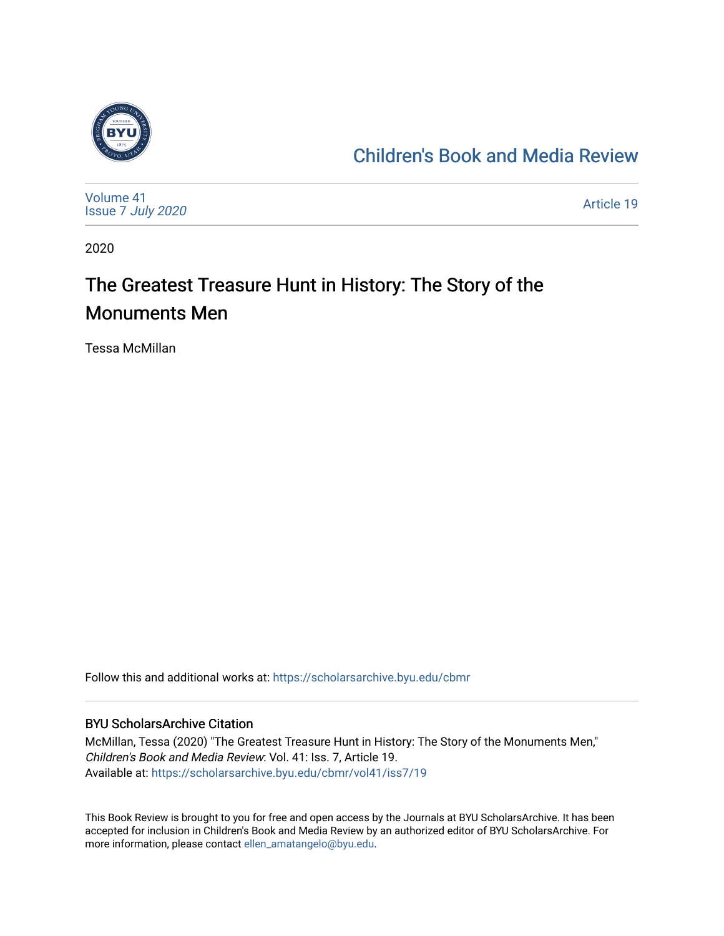

## [Children's Book and Media Review](https://scholarsarchive.byu.edu/cbmr)

| Volume 41<br>Issue 7 July 2020 | Article 19 |
|--------------------------------|------------|
|--------------------------------|------------|

2020

# The Greatest Treasure Hunt in History: The Story of the Monuments Men

Tessa McMillan

Follow this and additional works at: [https://scholarsarchive.byu.edu/cbmr](https://scholarsarchive.byu.edu/cbmr?utm_source=scholarsarchive.byu.edu%2Fcbmr%2Fvol41%2Fiss7%2F19&utm_medium=PDF&utm_campaign=PDFCoverPages) 

#### BYU ScholarsArchive Citation

McMillan, Tessa (2020) "The Greatest Treasure Hunt in History: The Story of the Monuments Men," Children's Book and Media Review: Vol. 41: Iss. 7, Article 19. Available at: [https://scholarsarchive.byu.edu/cbmr/vol41/iss7/19](https://scholarsarchive.byu.edu/cbmr/vol41/iss7/19?utm_source=scholarsarchive.byu.edu%2Fcbmr%2Fvol41%2Fiss7%2F19&utm_medium=PDF&utm_campaign=PDFCoverPages)

This Book Review is brought to you for free and open access by the Journals at BYU ScholarsArchive. It has been accepted for inclusion in Children's Book and Media Review by an authorized editor of BYU ScholarsArchive. For more information, please contact [ellen\\_amatangelo@byu.edu.](mailto:ellen_amatangelo@byu.edu)